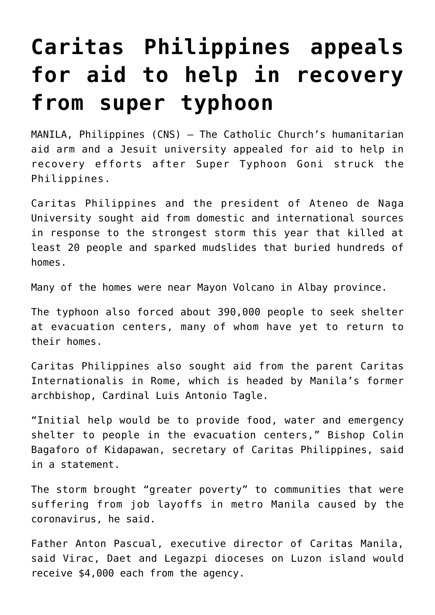## **[Caritas Philippines appeals](https://www.osvnews.com/2020/11/05/caritas-philippines-appeals-for-aid-to-help-in-recovery-from-super-typhoon/) [for aid to help in recovery](https://www.osvnews.com/2020/11/05/caritas-philippines-appeals-for-aid-to-help-in-recovery-from-super-typhoon/) [from super typhoon](https://www.osvnews.com/2020/11/05/caritas-philippines-appeals-for-aid-to-help-in-recovery-from-super-typhoon/)**

MANILA, Philippines (CNS) — The Catholic Church's humanitarian aid arm and a Jesuit university appealed for aid to help in recovery efforts after Super Typhoon Goni struck the Philippines.

Caritas Philippines and the president of Ateneo de Naga University sought aid from domestic and international sources in response to the strongest storm this year that killed at least 20 people and sparked mudslides that buried hundreds of homes.

Many of the homes were near Mayon Volcano in Albay province.

The typhoon also forced about 390,000 people to seek shelter at evacuation centers, many of whom have yet to return to their homes.

Caritas Philippines also sought aid from the parent Caritas Internationalis in Rome, which is headed by Manila's former archbishop, Cardinal Luis Antonio Tagle.

"Initial help would be to provide food, water and emergency shelter to people in the evacuation centers," Bishop Colin Bagaforo of Kidapawan, secretary of Caritas Philippines, said in a statement.

The storm brought "greater poverty" to communities that were suffering from job layoffs in metro Manila caused by the coronavirus, he said.

Father Anton Pascual, executive director of Caritas Manila, said Virac, Daet and Legazpi dioceses on Luzon island would receive \$4,000 each from the agency.